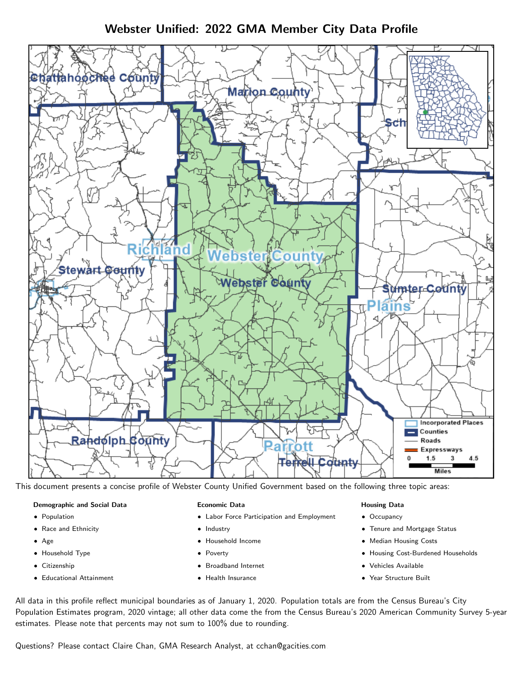Webster Unified: 2022 GMA Member City Data Profile



This document presents a concise profile of Webster County Unified Government based on the following three topic areas:

#### Demographic and Social Data

- **•** Population
- Race and Ethnicity
- Age
- Household Type
- **Citizenship**
- Educational Attainment

#### Economic Data

- Labor Force Participation and Employment
- Industry
- Household Income
- Poverty
- Broadband Internet
- Health Insurance

#### Housing Data

- Occupancy
- Tenure and Mortgage Status
- Median Housing Costs
- Housing Cost-Burdened Households
- Vehicles Available
- Year Structure Built

All data in this profile reflect municipal boundaries as of January 1, 2020. Population totals are from the Census Bureau's City Population Estimates program, 2020 vintage; all other data come the from the Census Bureau's 2020 American Community Survey 5-year estimates. Please note that percents may not sum to 100% due to rounding.

Questions? Please contact Claire Chan, GMA Research Analyst, at [cchan@gacities.com.](mailto:cchan@gacities.com)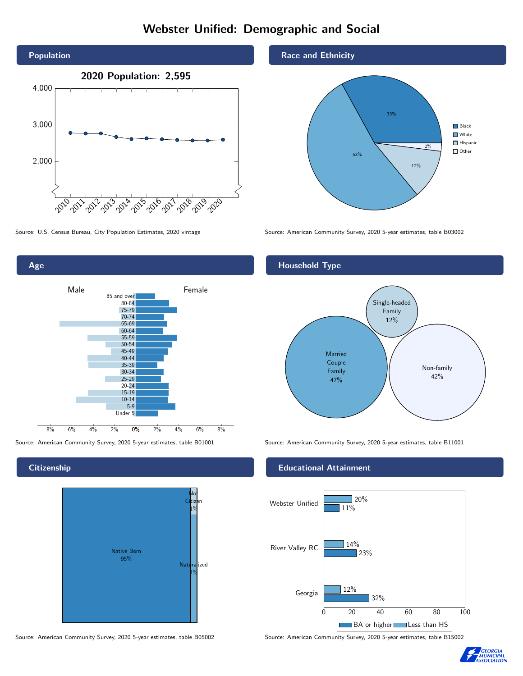## Webster Unified: Demographic and Social



0% 2% 4% 6% 8% 8% 6% 4% 2% 85 and over 80-84 75-79 70-74 65-69 60-64 55-59 50-54 45-49 40-44 35-39 30-34 25-29 20-24 15-19 10-14 5-9 Under 5

Male **Female** 

**Citizenship** 

Age



Source: American Community Survey, 2020 5-year estimates, table B05002 Source: American Community Survey, 2020 5-year estimates, table B15002

#### Race and Ethnicity



Source: U.S. Census Bureau, City Population Estimates, 2020 vintage Source: American Community Survey, 2020 5-year estimates, table B03002

# Household Type Married Couple Family 47% Single-headed Family 12% Non-family 42%

Source: American Community Survey, 2020 5-year estimates, table B01001 Source: American Community Survey, 2020 5-year estimates, table B11001

#### Educational Attainment



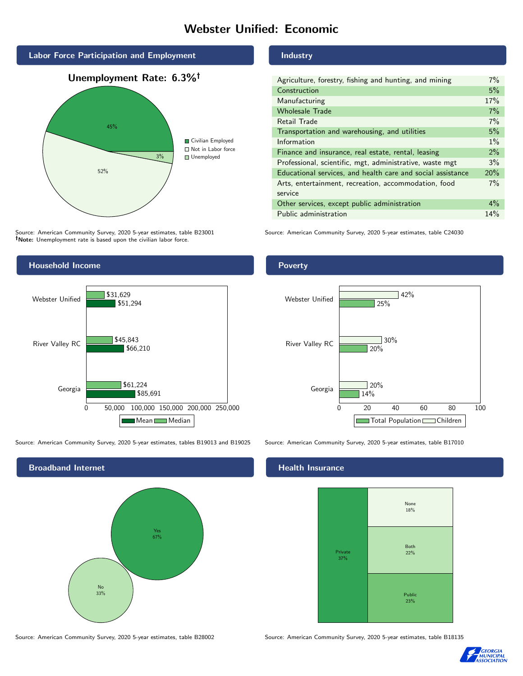## Webster Unified: Economic



Source: American Community Survey, 2020 5-year estimates, table B23001 Note: Unemployment rate is based upon the civilian labor force.

#### Industry

| Agriculture, forestry, fishing and hunting, and mining      | $7\%$ |
|-------------------------------------------------------------|-------|
| Construction                                                | 5%    |
| Manufacturing                                               | 17%   |
| <b>Wholesale Trade</b>                                      | 7%    |
| Retail Trade                                                | 7%    |
| Transportation and warehousing, and utilities               | 5%    |
| Information                                                 | $1\%$ |
| Finance and insurance, real estate, rental, leasing         | 2%    |
| Professional, scientific, mgt, administrative, waste mgt    | 3%    |
| Educational services, and health care and social assistance | 20%   |
| Arts, entertainment, recreation, accommodation, food        | $7\%$ |
| service                                                     |       |
| Other services, except public administration                | $4\%$ |
| Public administration                                       | 14%   |

Source: American Community Survey, 2020 5-year estimates, table C24030



Source: American Community Survey, 2020 5-year estimates, tables B19013 and B19025 Source: American Community Survey, 2020 5-year estimates, table B17010



#### Poverty



#### **Health Insurance**



Source: American Community Survey, 2020 5-year estimates, table B28002 Source: American Community Survey, 2020 5-year estimates, table B18135